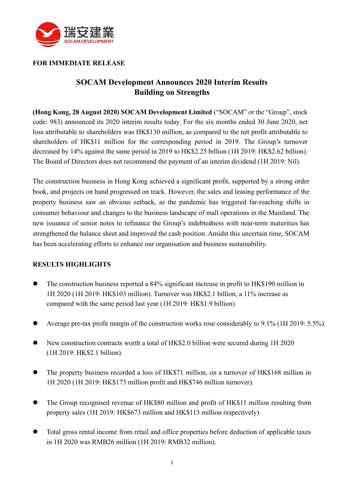

#### **FOR IMMEDIATE RELEASE**

## **SOCAM Development Announces 2020 Interim Results Building on Strengths**

**(Hong Kong, 28 August 2020) SOCAM Development Limited** ("SOCAM" or the "Group", stock code: 983) announced its 2020 interim results today. For the six months ended 30 June 2020, net loss attributable to shareholders was HK\$130 million, as compared to the net profit attributable to shareholders of HK\$11 million for the corresponding period in 2019. The Group's turnover decreased by 14% against the same period in 2019 to HK\$2.25 billion (1H 2019: HK\$2.62 billion). The Board of Directors does not recommend the payment of an interim dividend (1H 2019: Nil).

The construction business in Hong Kong achieved a significant profit, supported by a strong order book, and projects on hand progressed on track. However, the sales and leasing performance of the property business saw an obvious setback, as the pandemic has triggered far-reaching shifts in consumer behaviour and changes to the business landscape of mall operations in the Mainland. The new issuance of senior notes to refinance the Group's indebtedness with near-term maturities has strengthened the balance sheet and improved the cash position. Amidst this uncertain time, SOCAM has been accelerating efforts to enhance our organisation and business sustainability.

#### **RESULTS HIGHLIGHTS**

- ⚫ The construction business reported a 84% significant increase in profit to HK\$190 million in 1H 2020 (1H 2019: HK\$103 million). Turnover was HK\$2.1 billion, a 11% increase as compared with the same period last year (1H 2019: HK\$1.9 billion).
- Average pre-tax profit margin of the construction works rose considerably to 9.1% (1H 2019: 5.5%).
- ⚫ New construction contracts worth a total of HK\$2.0 billion were secured during 1H 2020 (1H 2019: HK\$2.1 billion).
- ⚫ The property business recorded a loss of HK\$71 million, on a turnover of HK\$168 million in 1H 2020 (1H 2019: HK\$173 million profit and HK\$746 million turnover).
- ⚫ The Group recognised revenue of HK\$80 million and profit of HK\$11 million resulting from property sales (1H 2019: HK\$673 million and HK\$113 million respectively).
- ⚫ Total gross rental income from retail and office properties before deduction of applicable taxes in 1H 2020 was RMB26 million (1H 2019: RMB32 million).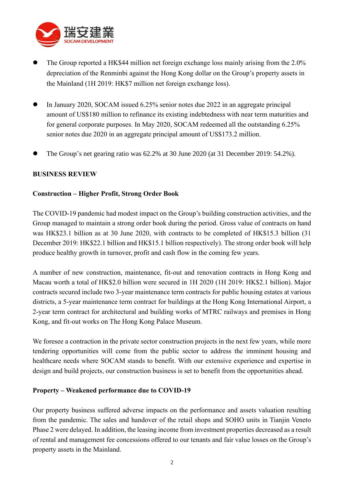

- ⚫ The Group reported a HK\$44 million net foreign exchange loss mainly arising from the 2.0% depreciation of the Renminbi against the Hong Kong dollar on the Group's property assets in the Mainland (1H 2019: HK\$7 million net foreign exchange loss).
- ⚫ In January 2020, SOCAM issued 6.25% senior notes due 2022 in an aggregate principal amount of US\$180 million to refinance its existing indebtedness with near term maturities and for general corporate purposes. In May 2020, SOCAM redeemed all the outstanding 6.25% senior notes due 2020 in an aggregate principal amount of US\$173.2 million.
- ⚫ The Group's net gearing ratio was 62.2% at 30 June 2020 (at 31 December 2019: 54.2%).

#### **BUSINESS REVIEW**

#### **Construction – Higher Profit, Strong Order Book**

The COVID-19 pandemic had modest impact on the Group's building construction activities, and the Group managed to maintain a strong order book during the period. Gross value of contracts on hand was HK\$23.1 billion as at 30 June 2020, with contracts to be completed of HK\$15.3 billion (31 December 2019: HK\$22.1 billion and HK\$15.1 billion respectively). The strong order book will help produce healthy growth in turnover, profit and cash flow in the coming few years.

A number of new construction, maintenance, fit-out and renovation contracts in Hong Kong and Macau worth a total of HK\$2.0 billion were secured in 1H 2020 (1H 2019: HK\$2.1 billion). Major contracts secured include two 3-year maintenance term contracts for public housing estates at various districts, a 5-year maintenance term contract for buildings at the Hong Kong International Airport, a 2-year term contract for architectural and building works of MTRC railways and premises in Hong Kong, and fit-out works on The Hong Kong Palace Museum.

We foresee a contraction in the private sector construction projects in the next few years, while more tendering opportunities will come from the public sector to address the imminent housing and healthcare needs where SOCAM stands to benefit. With our extensive experience and expertise in design and build projects, our construction business is set to benefit from the opportunities ahead.

#### **Property – Weakened performance due to COVID-19**

Our property business suffered adverse impacts on the performance and assets valuation resulting from the pandemic. The sales and handover of the retail shops and SOHO units in Tianjin Veneto Phase 2 were delayed. In addition, the leasing income from investment properties decreased as a result of rental and management fee concessions offered to our tenants and fair value losses on the Group's property assets in the Mainland.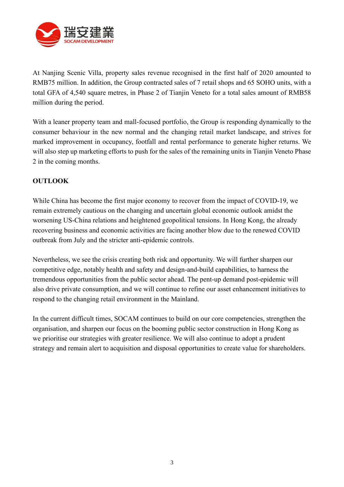

At Nanjing Scenic Villa, property sales revenue recognised in the first half of 2020 amounted to RMB75 million. In addition, the Group contracted sales of 7 retail shops and 65 SOHO units, with a total GFA of 4,540 square metres, in Phase 2 of Tianjin Veneto for a total sales amount of RMB58 million during the period.

With a leaner property team and mall-focused portfolio, the Group is responding dynamically to the consumer behaviour in the new normal and the changing retail market landscape, and strives for marked improvement in occupancy, footfall and rental performance to generate higher returns. We will also step up marketing efforts to push for the sales of the remaining units in Tianjin Veneto Phase 2 in the coming months.

### **OUTLOOK**

While China has become the first major economy to recover from the impact of COVID-19, we remain extremely cautious on the changing and uncertain global economic outlook amidst the worsening US-China relations and heightened geopolitical tensions. In Hong Kong, the already recovering business and economic activities are facing another blow due to the renewed COVID outbreak from July and the stricter anti-epidemic controls.

Nevertheless, we see the crisis creating both risk and opportunity. We will further sharpen our competitive edge, notably health and safety and design-and-build capabilities, to harness the tremendous opportunities from the public sector ahead. The pent-up demand post-epidemic will also drive private consumption, and we will continue to refine our asset enhancement initiatives to respond to the changing retail environment in the Mainland.

In the current difficult times, SOCAM continues to build on our core competencies, strengthen the organisation, and sharpen our focus on the booming public sector construction in Hong Kong as we prioritise our strategies with greater resilience. We will also continue to adopt a prudent strategy and remain alert to acquisition and disposal opportunities to create value for shareholders.